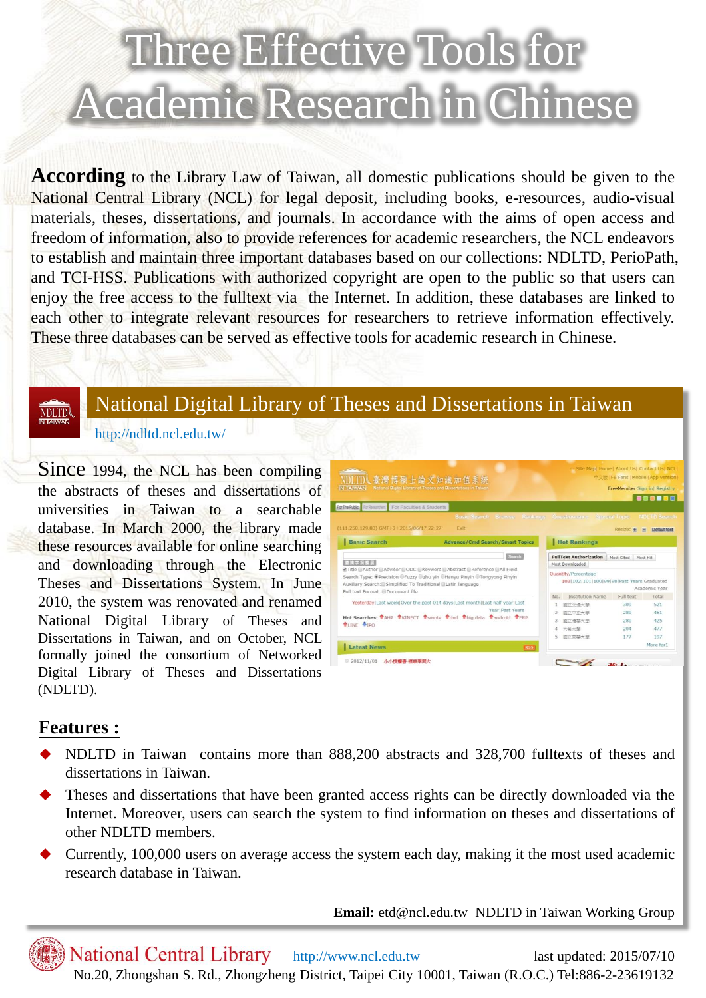# Three Effective Tools for Academic Research in Chinese

**According** to the Library Law of Taiwan, all domestic publications should be given to the National Central Library (NCL) for legal deposit, including books, e-resources, audio-visual materials, theses, dissertations, and journals. In accordance with the aims of open access and freedom of information, also to provide references for academic researchers, the NCL endeavors to establish and maintain three important databases based on our collections: NDLTD, PerioPath, and TCI-HSS. Publications with authorized copyright are open to the public so that users can enjoy the free access to the fulltext via the Internet. In addition, these databases are linked to each other to integrate relevant resources for researchers to retrieve information effectively. These three databases can be served as effective tools for academic research in Chinese.

#### **NDLTD**

## National Digital Library of Theses and Dissertations in Taiwan

#### http://ndltd.ncl.edu.tw/

Since 1994, the NCL has been compiling the abstracts of theses and dissertations of universities in Taiwan to a searchable database. In March 2000, the library made these resources available for online searching and downloading through the Electronic Theses and Dissertations System. In June 2010, the system was renovated and renamed National Digital Library of Theses and Dissertations in Taiwan, and on October, NCL formally joined the consortium of Networked Digital Library of Theses and Dissertations (NDLTD).



#### **Features :**

- NDLTD in Taiwan contains more than 888,200 abstracts and 328,700 fulltexts of theses and dissertations in Taiwan.
- Theses and dissertations that have been granted access rights can be directly downloaded via the Internet. Moreover, users can search the system to find information on theses and dissertations of other NDLTD members.
- Currently, 100,000 users on average access the system each day, making it the most used academic research database in Taiwan.

**Email:** etd@ncl.edu.tw NDLTD in Taiwan Working Group